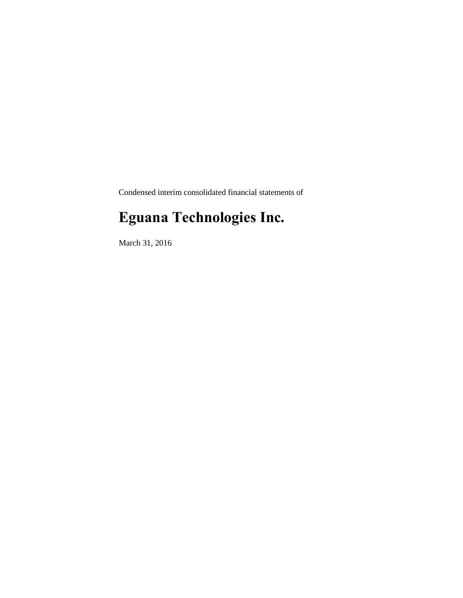Condensed interim consolidated financial statements of

# **Eguana Technologies Inc.**

March 31, 2016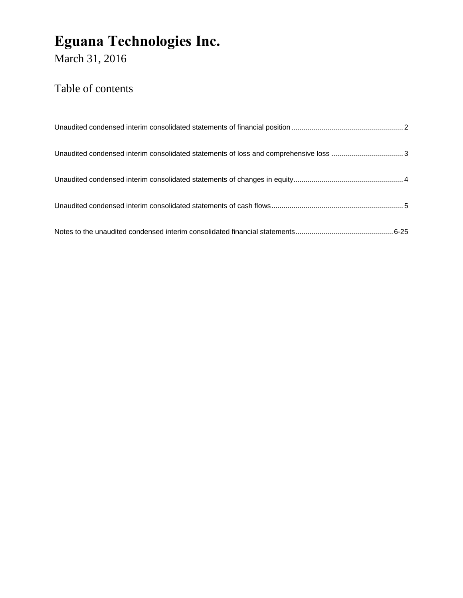March 31, 2016

### Table of contents

| Unaudited condensed interim consolidated statements of loss and comprehensive loss 3 |  |
|--------------------------------------------------------------------------------------|--|
|                                                                                      |  |
|                                                                                      |  |
|                                                                                      |  |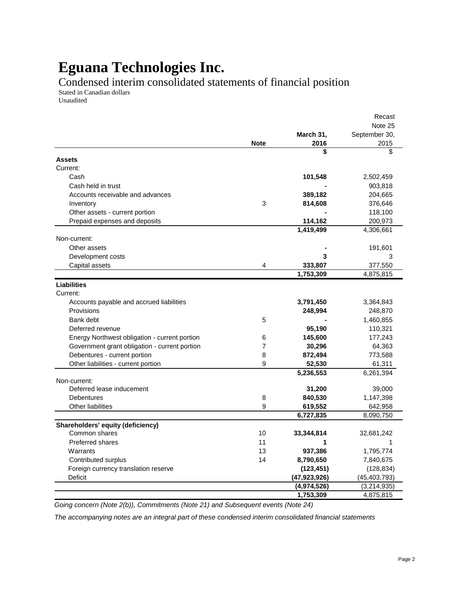Condensed interim consolidated statements of financial position

Stated in Canadian dollars Unaudited

|                                               |                |                | Recast         |
|-----------------------------------------------|----------------|----------------|----------------|
|                                               |                |                | Note 25        |
|                                               |                | March 31,      | September 30,  |
|                                               | <b>Note</b>    | 2016           | 2015           |
|                                               |                | \$             | \$             |
| Assets                                        |                |                |                |
| Current:                                      |                |                |                |
| Cash                                          |                | 101,548        | 2,502,459      |
| Cash held in trust                            |                |                | 903,818        |
| Accounts receivable and advances              |                | 389,182        | 204,665        |
| Inventory                                     | 3              | 814,608        | 376,646        |
| Other assets - current portion                |                |                | 118,100        |
| Prepaid expenses and deposits                 |                | 114,162        | 200,973        |
|                                               |                | 1,419,499      | 4,306,661      |
| Non-current:                                  |                |                |                |
| Other assets                                  |                |                | 191,601        |
| Development costs                             |                | 3              | 3              |
| Capital assets                                | 4              | 333,807        | 377,550        |
|                                               |                | 1,753,309      | 4,875,815      |
| <b>Liabilities</b>                            |                |                |                |
| Current:                                      |                |                |                |
| Accounts payable and accrued liabilities      |                | 3,791,450      | 3,364,843      |
| Provisions                                    |                | 248,994        | 248,870        |
| Bank debt                                     | 5              |                | 1,460,855      |
| Deferred revenue                              |                | 95,190         | 110,321        |
| Energy Northwest obligation - current portion | 6              | 145,600        | 177,243        |
| Government grant obligation - current portion | $\overline{7}$ | 30,296         | 64,363         |
| Debentures - current portion                  | 8              | 872,494        | 773,588        |
| Other liabilities - current portion           | 9              | 52,530         | 61,311         |
|                                               |                | 5,236,553      | 6,261,394      |
| Non-current:                                  |                |                |                |
| Deferred lease inducement                     |                | 31,200         | 39,000         |
| Debentures                                    | 8              | 840,530        | 1,147,398      |
| Other liabilities                             | 9              | 619,552        | 642,958        |
|                                               |                | 6,727,835      | 8,090,750      |
| Shareholders' equity (deficiency)             |                |                |                |
| Common shares                                 | 10             | 33,344,814     | 32,681,242     |
| <b>Preferred shares</b>                       | 11             | 1              | 1              |
| Warrants                                      | 13             | 937,386        | 1,795,774      |
| Contributed surplus                           | 14             | 8,790,650      | 7,840,675      |
| Foreign currency translation reserve          |                | (123, 451)     | (128, 834)     |
| <b>Deficit</b>                                |                | (47, 923, 926) | (45, 403, 793) |
|                                               |                | (4,974,526)    | (3,214,935)    |
|                                               |                | 1,753,309      | 4,875,815      |

*Going concern (Note 2(b)), Commitments (Note 21) and Subsequent events (Note 24)*

*The accompanying notes are an integral part of these condensed interim consolidated financial statements*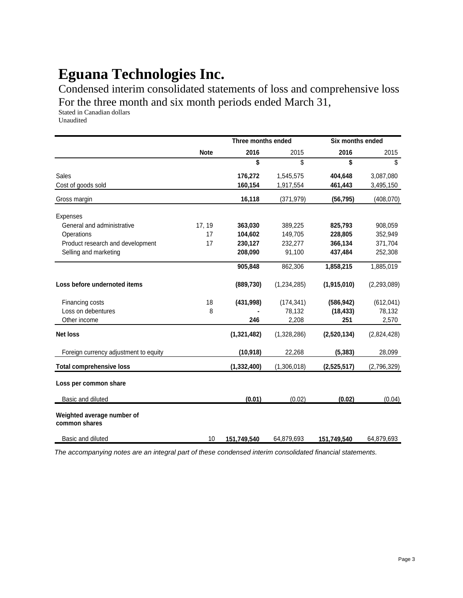Condensed interim consolidated statements of loss and comprehensive loss For the three month and six month periods ended March 31,

Stated in Canadian dollars Unaudited

|                                             | Three months ended |               | <b>Six months ended</b> |             |               |
|---------------------------------------------|--------------------|---------------|-------------------------|-------------|---------------|
|                                             | <b>Note</b>        | 2016          | 2015                    | 2016        | 2015          |
|                                             |                    | \$            | \$                      | \$          | \$            |
| Sales                                       |                    | 176,272       | 1,545,575               | 404,648     | 3,087,080     |
| Cost of goods sold                          |                    | 160,154       | 1,917,554               | 461,443     | 3,495,150     |
| Gross margin                                |                    | 16,118        | (371, 979)              | (56, 795)   | (408, 070)    |
| <b>Expenses</b>                             |                    |               |                         |             |               |
| General and administrative                  | 17, 19             | 363,030       | 389,225                 | 825,793     | 908,059       |
| Operations                                  | 17                 | 104,602       | 149,705                 | 228,805     | 352,949       |
| Product research and development            | 17                 | 230,127       | 232,277                 | 366,134     | 371,704       |
| Selling and marketing                       |                    | 208,090       | 91,100                  | 437,484     | 252,308       |
|                                             |                    | 905,848       | 862,306                 | 1,858,215   | 1,885,019     |
| Loss before undernoted items                |                    | (889, 730)    | (1,234,285)             | (1,915,010) | (2, 293, 089) |
| Financing costs                             | 18                 | (431, 998)    | (174, 341)              | (586, 942)  | (612, 041)    |
| Loss on debentures                          | 8                  |               | 78,132                  | (18, 433)   | 78,132        |
| Other income                                |                    | 246           | 2,208                   | 251         | 2,570         |
| <b>Net loss</b>                             |                    | (1,321,482)   | (1,328,286)             | (2,520,134) | (2,824,428)   |
| Foreign currency adjustment to equity       |                    | (10, 918)     | 22,268                  | (5, 383)    | 28,099        |
| <b>Total comprehensive loss</b>             |                    | (1, 332, 400) | (1,306,018)             | (2,525,517) | (2,796,329)   |
| Loss per common share                       |                    |               |                         |             |               |
| Basic and diluted                           |                    | (0.01)        | (0.02)                  | (0.02)      | (0.04)        |
| Weighted average number of<br>common shares |                    |               |                         |             |               |
| Basic and diluted                           | 10                 | 151,749,540   | 64,879,693              | 151,749,540 | 64,879,693    |

*The accompanying notes are an integral part of these condensed interim consolidated financial statements.*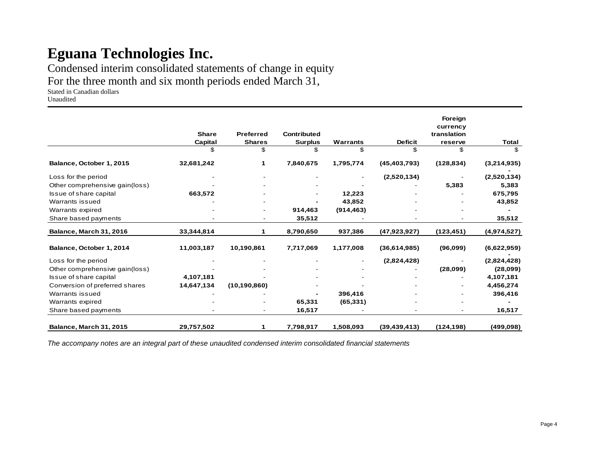Condensed interim consolidated statements of change in equity

For the three month and six month periods ended March 31,

Stated in Canadian dollars

Unaudited

|                                |              |                  |                    |            |                | Foreign                 |             |
|--------------------------------|--------------|------------------|--------------------|------------|----------------|-------------------------|-------------|
|                                | <b>Share</b> | <b>Preferred</b> | <b>Contributed</b> |            |                | currency<br>translation |             |
|                                | Capital      | <b>Shares</b>    | <b>Surplus</b>     | Warrants   | <b>Deficit</b> | reserve                 | Total       |
|                                | \$           | \$               | \$                 | \$         | \$             | \$                      | \$          |
| Balance, October 1, 2015       | 32,681,242   |                  | 7,840,675          | 1,795,774  | (45, 403, 793) | (128, 834)              | (3,214,935) |
| Loss for the period            |              |                  |                    |            | (2,520,134)    |                         | (2,520,134) |
| Other comprehensive gain(loss) |              |                  |                    |            |                | 5,383                   | 5,383       |
| Issue of share capital         | 663,572      |                  |                    | 12,223     |                |                         | 675,795     |
| Warrants issued                |              |                  |                    | 43,852     |                |                         | 43,852      |
| Warrants expired               |              |                  | 914,463            | (914, 463) |                |                         |             |
| Share based payments           |              |                  | 35,512             |            |                |                         | 35,512      |
| Balance, March 31, 2016        | 33,344,814   |                  | 8,790,650          | 937,386    | (47, 923, 927) | (123, 451)              | (4,974,527) |
| Balance, October 1, 2014       | 11,003,187   | 10,190,861       | 7,717,069          | 1,177,008  | (36,614,985)   | (96,099)                | (6,622,959) |
| Loss for the period            |              |                  |                    |            | (2,824,428)    |                         | (2,824,428) |
| Other comprehensive gain(loss) |              |                  |                    |            |                | (28,099)                | (28,099)    |
| Issue of share capital         | 4,107,181    |                  |                    |            |                |                         | 4,107,181   |
| Conversion of preferred shares | 14,647,134   | (10, 190, 860)   |                    |            |                |                         | 4,456,274   |
| Warrants issued                |              |                  |                    | 396,416    |                |                         | 396,416     |
| Warrants expired               |              |                  | 65,331             | (65, 331)  |                |                         |             |
| Share based payments           |              |                  | 16,517             |            |                |                         | 16,517      |
| <b>Balance, March 31, 2015</b> | 29,757,502   | 1                | 7,798,917          | 1,508,093  | (39, 439, 413) | (124, 198)              | (499, 098)  |

*The accompany notes are an integral part of these unaudited condensed interim consolidated financial statements*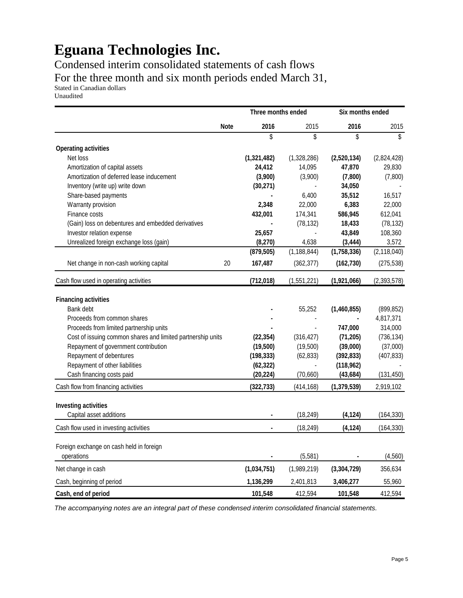Condensed interim consolidated statements of cash flows For the three month and six month periods ended March 31,

Stated in Canadian dollars Unaudited

|                                                             | Three months ended |               | Six months ended |               |
|-------------------------------------------------------------|--------------------|---------------|------------------|---------------|
| <b>Note</b>                                                 | 2016               | 2015          | 2016             | 2015          |
|                                                             | \$                 | \$            | \$               | \$            |
| <b>Operating activities</b>                                 |                    |               |                  |               |
| Net loss                                                    | (1,321,482)        | (1,328,286)   | (2,520,134)      | (2,824,428)   |
| Amortization of capital assets                              | 24,412             | 14,095        | 47,870           | 29,830        |
| Amortization of deferred lease inducement                   | (3,900)            | (3,900)       | (7,800)          | (7,800)       |
| Inventory (write up) write down                             | (30, 271)          |               | 34,050           |               |
| Share-based payments                                        |                    | 6,400         | 35,512           | 16,517        |
| Warranty provision                                          | 2,348              | 22,000        | 6,383            | 22,000        |
| Finance costs                                               | 432,001            | 174,341       | 586,945          | 612,041       |
| (Gain) loss on debentures and embedded derivatives          |                    | (78, 132)     | 18,433           | (78, 132)     |
| Investor relation expense                                   | 25,657             |               | 43,849           | 108,360       |
| Unrealized foreign exchange loss (gain)                     | (8, 270)           | 4,638         | (3, 444)         | 3,572         |
|                                                             | (879, 505)         | (1, 188, 844) | (1,758,336)      | (2, 118, 040) |
| Net change in non-cash working capital<br>20                | 167,487            | (362, 377)    | (162, 730)       | (275, 538)    |
| Cash flow used in operating activities                      | (712, 018)         | (1,551,221)   | (1,921,066)      | (2,393,578)   |
| <b>Financing activities</b>                                 |                    |               |                  |               |
| Bank debt                                                   |                    | 55,252        | (1,460,855)      | (899, 852)    |
| Proceeds from common shares                                 |                    |               |                  | 4,817,371     |
| Proceeds from limited partnership units                     |                    |               | 747,000          | 314,000       |
| Cost of issuing common shares and limited partnership units | (22, 354)          | (316, 427)    | (71, 205)        | (736, 134)    |
| Repayment of government contribution                        | (19,500)           | (19,500)      | (39,000)         | (37,000)      |
| Repayment of debentures                                     | (198, 333)         | (62, 833)     | (392, 833)       | (407, 833)    |
| Repayment of other liabilities                              | (62, 322)          |               | (118, 962)       |               |
| Cash financing costs paid                                   | (20, 224)          | (70,660)      | (43, 684)        | (131, 450)    |
| Cash flow from financing activities                         | (322, 733)         | (414, 168)    | (1, 379, 539)    | 2,919,102     |
|                                                             |                    |               |                  |               |
| <b>Investing activities</b>                                 |                    |               |                  |               |
| Capital asset additions                                     |                    | (18, 249)     | (4, 124)         | (164, 330)    |
| Cash flow used in investing activities                      |                    | (18, 249)     | (4, 124)         | (164, 330)    |
|                                                             |                    |               |                  |               |
| Foreign exchange on cash held in foreign                    |                    | (5,581)       |                  | (4, 560)      |
| operations                                                  |                    |               |                  |               |
| Net change in cash                                          | (1,034,751)        | (1,989,219)   | (3, 304, 729)    | 356,634       |
| Cash, beginning of period                                   | 1,136,299          | 2,401,813     | 3,406,277        | 55,960        |
| Cash, end of period                                         | 101,548            | 412,594       | 101,548          | 412,594       |

*The accompanying notes are an integral part of these condensed interim consolidated financial statements.*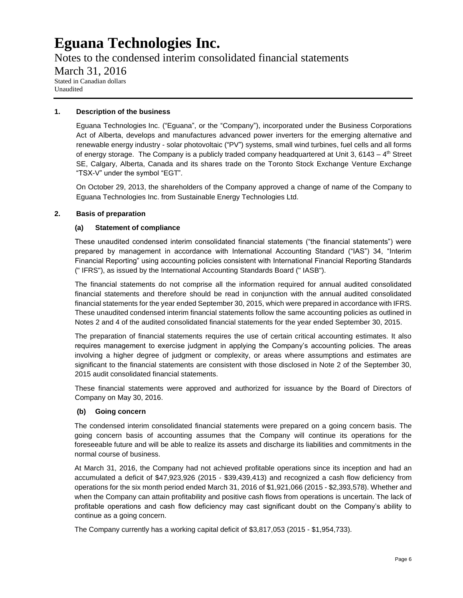Notes to the condensed interim consolidated financial statements March 31, 2016 Stated in Canadian dollars Unaudited

#### **1. Description of the business**

Eguana Technologies Inc. ("Eguana", or the "Company"), incorporated under the Business Corporations Act of Alberta, develops and manufactures advanced power inverters for the emerging alternative and renewable energy industry - solar photovoltaic ("PV") systems, small wind turbines, fuel cells and all forms of energy storage. The Company is a publicly traded company headquartered at Unit 3, 6143 –  $4<sup>th</sup>$  Street SE, Calgary, Alberta, Canada and its shares trade on the Toronto Stock Exchange Venture Exchange "TSX-V" under the symbol "EGT".

On October 29, 2013, the shareholders of the Company approved a change of name of the Company to Eguana Technologies Inc. from Sustainable Energy Technologies Ltd.

#### **2. Basis of preparation**

#### **(a) Statement of compliance**

These unaudited condensed interim consolidated financial statements ("the financial statements") were prepared by management in accordance with International Accounting Standard ("IAS") 34, "Interim Financial Reporting" using accounting policies consistent with International Financial Reporting Standards (" IFRS"), as issued by the International Accounting Standards Board (" IASB").

The financial statements do not comprise all the information required for annual audited consolidated financial statements and therefore should be read in conjunction with the annual audited consolidated financial statements for the year ended September 30, 2015, which were prepared in accordance with IFRS. These unaudited condensed interim financial statements follow the same accounting policies as outlined in Notes 2 and 4 of the audited consolidated financial statements for the year ended September 30, 2015.

The preparation of financial statements requires the use of certain critical accounting estimates. It also requires management to exercise judgment in applying the Company's accounting policies. The areas involving a higher degree of judgment or complexity, or areas where assumptions and estimates are significant to the financial statements are consistent with those disclosed in Note 2 of the September 30, 2015 audit consolidated financial statements.

These financial statements were approved and authorized for issuance by the Board of Directors of Company on May 30, 2016.

### **(b) Going concern**

The condensed interim consolidated financial statements were prepared on a going concern basis. The going concern basis of accounting assumes that the Company will continue its operations for the foreseeable future and will be able to realize its assets and discharge its liabilities and commitments in the normal course of business.

At March 31, 2016, the Company had not achieved profitable operations since its inception and had an accumulated a deficit of \$47,923,926 (2015 - \$39,439,413) and recognized a cash flow deficiency from operations for the six month period ended March 31, 2016 of \$1,921,066 (2015 - \$2,393,578). Whether and when the Company can attain profitability and positive cash flows from operations is uncertain. The lack of profitable operations and cash flow deficiency may cast significant doubt on the Company's ability to continue as a going concern.

The Company currently has a working capital deficit of \$3,817,053 (2015 - \$1,954,733).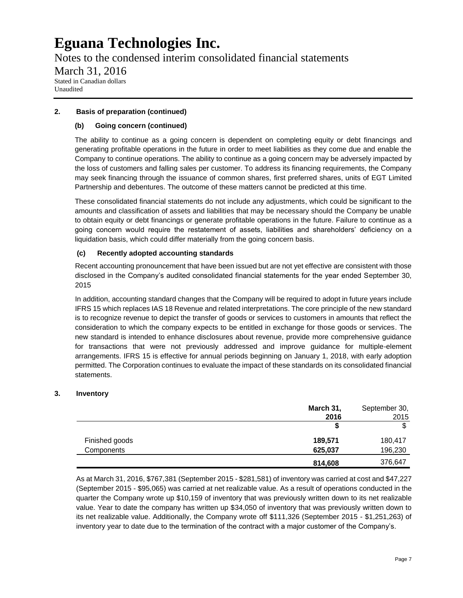Notes to the condensed interim consolidated financial statements March 31, 2016 Stated in Canadian dollars Unaudited

### **2. Basis of preparation (continued)**

### **(b) Going concern (continued)**

The ability to continue as a going concern is dependent on completing equity or debt financings and generating profitable operations in the future in order to meet liabilities as they come due and enable the Company to continue operations. The ability to continue as a going concern may be adversely impacted by the loss of customers and falling sales per customer. To address its financing requirements, the Company may seek financing through the issuance of common shares, first preferred shares, units of EGT Limited Partnership and debentures. The outcome of these matters cannot be predicted at this time.

These consolidated financial statements do not include any adjustments, which could be significant to the amounts and classification of assets and liabilities that may be necessary should the Company be unable to obtain equity or debt financings or generate profitable operations in the future. Failure to continue as a going concern would require the restatement of assets, liabilities and shareholders' deficiency on a liquidation basis, which could differ materially from the going concern basis.

### **(c) Recently adopted accounting standards**

Recent accounting pronouncement that have been issued but are not yet effective are consistent with those disclosed in the Company's audited consolidated financial statements for the year ended September 30, 2015

In addition, accounting standard changes that the Company will be required to adopt in future years include IFRS 15 which replaces IAS 18 Revenue and related interpretations. The core principle of the new standard is to recognize revenue to depict the transfer of goods or services to customers in amounts that reflect the consideration to which the company expects to be entitled in exchange for those goods or services. The new standard is intended to enhance disclosures about revenue, provide more comprehensive guidance for transactions that were not previously addressed and improve guidance for multiple-element arrangements. IFRS 15 is effective for annual periods beginning on January 1, 2018, with early adoption permitted. The Corporation continues to evaluate the impact of these standards on its consolidated financial statements.

### **3. Inventory**

|                | March 31, | September 30, |
|----------------|-----------|---------------|
|                | 2016      | 2015          |
|                |           | c             |
| Finished goods | 189,571   | 180,417       |
| Components     | 625,037   | 196,230       |
|                | 814,608   | 376,647       |

As at March 31, 2016, \$767,381 (September 2015 - \$281,581) of inventory was carried at cost and \$47,227 (September 2015 - \$95,065) was carried at net realizable value. As a result of operations conducted in the quarter the Company wrote up \$10,159 of inventory that was previously written down to its net realizable value. Year to date the company has written up \$34,050 of inventory that was previously written down to its net realizable value. Additionally, the Company wrote off \$111,326 (September 2015 - \$1,251,263) of inventory year to date due to the termination of the contract with a major customer of the Company's.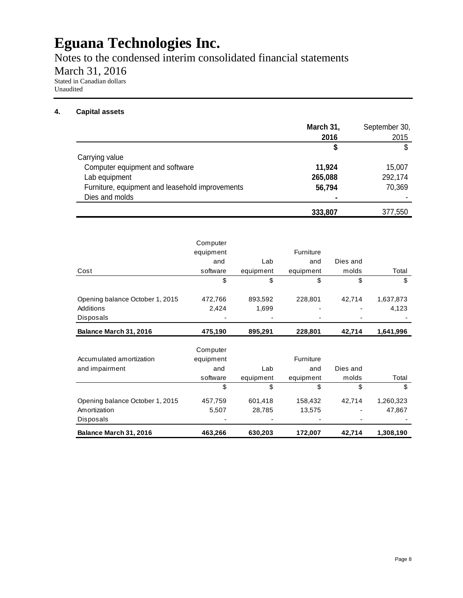Notes to the condensed interim consolidated financial statements

March 31, 2016

Stated in Canadian dollars Unaudited

### **4. Capital assets**

|                                                 | March 31, | September 30, |
|-------------------------------------------------|-----------|---------------|
|                                                 | 2016      | 2015          |
|                                                 | \$        |               |
| Carrying value                                  |           |               |
| Computer equipment and software                 | 11,924    | 15,007        |
| Lab equipment                                   | 265,088   | 292,174       |
| Furniture, equipment and leasehold improvements | 56,794    | 70,369        |
| Dies and molds                                  |           |               |
|                                                 | 333,807   | 377,550       |

|                                 | Computer  |           |           |          |           |
|---------------------------------|-----------|-----------|-----------|----------|-----------|
|                                 | equipment |           | Furniture |          |           |
|                                 | and       | Lab       | and       | Dies and |           |
| Cost                            | software  | equipment | equipment | molds    | Total     |
|                                 | \$        | \$        | \$        | \$       | \$        |
|                                 |           |           |           |          |           |
| Opening balance October 1, 2015 | 472,766   | 893,592   | 228,801   | 42,714   | 1,637,873 |
| Additions                       | 2,424     | 1,699     |           |          | 4,123     |
| Disposals                       |           |           |           |          |           |
| Balance March 31, 2016          | 475,190   | 895,291   | 228,801   | 42,714   | 1,641,996 |
|                                 |           |           |           |          |           |
|                                 | Computer  |           |           |          |           |
| Accumulated amortization        | equipment |           | Furniture |          |           |
| and impairment                  | and       | Lab       | and       | Dies and |           |
|                                 | software  | equipment | equipment | molds    | Total     |
|                                 | \$        | \$        | \$        | \$       | \$        |
| Opening balance October 1, 2015 | 457,759   | 601,418   | 158,432   | 42,714   | 1,260,323 |
| Amortization                    | 5,507     | 28,785    | 13,575    |          | 47,867    |
| Disposals                       |           |           |           |          |           |
| Balance March 31, 2016          | 463,266   | 630,203   | 172,007   | 42,714   | 1,308,190 |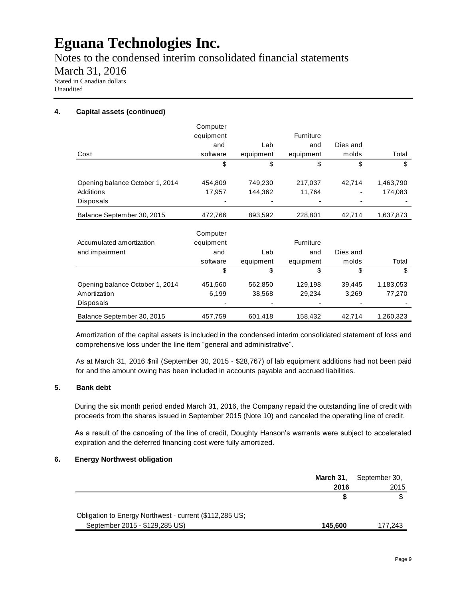Notes to the condensed interim consolidated financial statements

March 31, 2016

Stated in Canadian dollars Unaudited

### **4. Capital assets (continued)**

|                                 | Computer  |           |           |          |           |
|---------------------------------|-----------|-----------|-----------|----------|-----------|
|                                 | equipment |           | Furniture |          |           |
|                                 | and       | Lab       | and       | Dies and |           |
| Cost                            | software  | equipment | equipment | molds    | Total     |
|                                 | \$        | \$        | \$        | \$       | \$        |
|                                 |           |           |           |          |           |
| Opening balance October 1, 2014 | 454,809   | 749,230   | 217,037   | 42,714   | 1,463,790 |
| Additions                       | 17,957    | 144,362   | 11,764    |          | 174,083   |
| Disposals                       |           |           |           |          |           |
| Balance September 30, 2015      | 472,766   | 893,592   | 228,801   | 42,714   | 1,637,873 |
|                                 |           |           |           |          |           |
|                                 | Computer  |           |           |          |           |
| Accumulated amortization        | equipment |           | Furniture |          |           |
| and impairment                  | and       | Lab       | and       | Dies and |           |
|                                 | software  | equipment | equipment | molds    | Total     |
|                                 | \$        | \$        | \$        | \$       | \$        |
| Opening balance October 1, 2014 | 451,560   | 562,850   | 129,198   | 39,445   | 1,183,053 |
| Amortization                    | 6,199     | 38,568    | 29,234    | 3,269    | 77,270    |
| Disposals                       |           |           |           |          |           |
| Balance September 30, 2015      | 457,759   | 601,418   | 158,432   | 42,714   | 1,260,323 |

Amortization of the capital assets is included in the condensed interim consolidated statement of loss and comprehensive loss under the line item "general and administrative".

As at March 31, 2016 \$nil (September 30, 2015 - \$28,767) of lab equipment additions had not been paid for and the amount owing has been included in accounts payable and accrued liabilities.

### **5. Bank debt**

During the six month period ended March 31, 2016, the Company repaid the outstanding line of credit with proceeds from the shares issued in September 2015 (Note 10) and canceled the operating line of credit.

As a result of the canceling of the line of credit, Doughty Hanson's warrants were subject to accelerated expiration and the deferred financing cost were fully amortized.

### **6. Energy Northwest obligation**

|                                                         | March 31, | September 30, |
|---------------------------------------------------------|-----------|---------------|
|                                                         | 2016      | 2015          |
|                                                         |           |               |
| Obligation to Energy Northwest - current (\$112,285 US; |           |               |
| September 2015 - \$129,285 US)                          | 145.600   | 177.243       |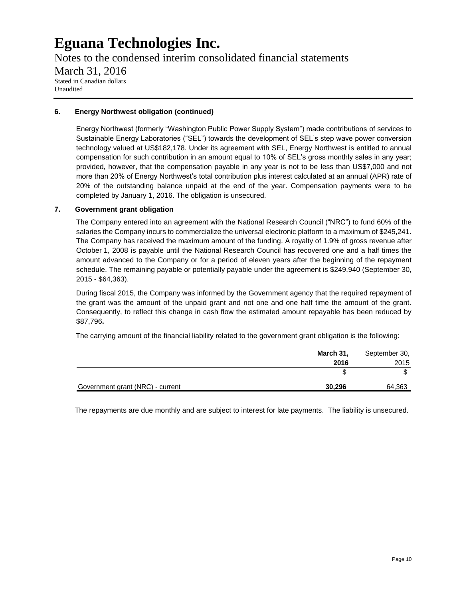Notes to the condensed interim consolidated financial statements March 31, 2016 Stated in Canadian dollars Unaudited

### **6. Energy Northwest obligation (continued)**

Energy Northwest (formerly "Washington Public Power Supply System") made contributions of services to Sustainable Energy Laboratories ("SEL") towards the development of SEL's step wave power conversion technology valued at US\$182,178. Under its agreement with SEL, Energy Northwest is entitled to annual compensation for such contribution in an amount equal to 10% of SEL's gross monthly sales in any year; provided, however, that the compensation payable in any year is not to be less than US\$7,000 and not more than 20% of Energy Northwest's total contribution plus interest calculated at an annual (APR) rate of 20% of the outstanding balance unpaid at the end of the year. Compensation payments were to be completed by January 1, 2016. The obligation is unsecured.

### **7. Government grant obligation**

The Company entered into an agreement with the National Research Council ("NRC") to fund 60% of the salaries the Company incurs to commercialize the universal electronic platform to a maximum of \$245,241. The Company has received the maximum amount of the funding. A royalty of 1.9% of gross revenue after October 1, 2008 is payable until the National Research Council has recovered one and a half times the amount advanced to the Company or for a period of eleven years after the beginning of the repayment schedule. The remaining payable or potentially payable under the agreement is \$249,940 (September 30, 2015 - \$64,363).

During fiscal 2015, the Company was informed by the Government agency that the required repayment of the grant was the amount of the unpaid grant and not one and one half time the amount of the grant. Consequently, to reflect this change in cash flow the estimated amount repayable has been reduced by \$87,796**.**

The carrying amount of the financial liability related to the government grant obligation is the following:

|                                  | March 31, | September 30, |
|----------------------------------|-----------|---------------|
|                                  | 2016      | 2015          |
|                                  |           |               |
| Government grant (NRC) - current | 30,296    | 64,363        |

The repayments are due monthly and are subject to interest for late payments. The liability is unsecured.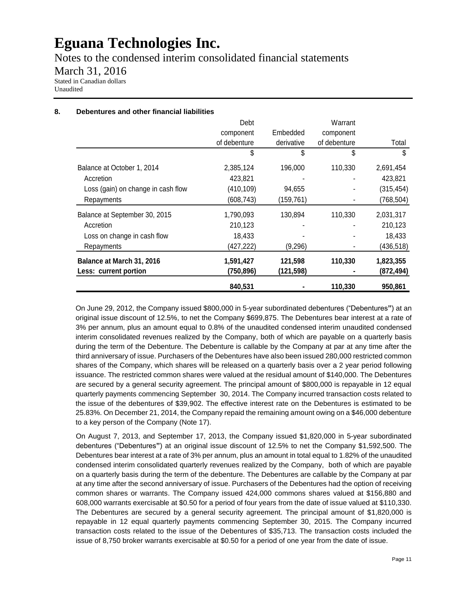Notes to the condensed interim consolidated financial statements March 31, 2016 Stated in Canadian dollars Unaudited

### **8. Debentures and other financial liabilities**

|                                    | Debt         |            | Warrant      |            |
|------------------------------------|--------------|------------|--------------|------------|
|                                    | component    | Embedded   | component    |            |
|                                    | of debenture | derivative | of debenture | Total      |
|                                    | \$           | \$         | \$           | \$         |
| Balance at October 1, 2014         | 2,385,124    | 196,000    | 110,330      | 2,691,454  |
| Accretion                          | 423,821      |            |              | 423,821    |
| Loss (gain) on change in cash flow | (410, 109)   | 94,655     |              | (315, 454) |
| Repayments                         | (608, 743)   | (159,761)  |              | (768, 504) |
| Balance at September 30, 2015      | 1,790,093    | 130,894    | 110,330      | 2,031,317  |
| Accretion                          | 210,123      |            |              | 210,123    |
| Loss on change in cash flow        | 18,433       |            |              | 18,433     |
| Repayments                         | (427,222)    | (9,296)    |              | (436, 518) |
| Balance at March 31, 2016          | 1,591,427    | 121,598    | 110,330      | 1,823,355  |
| Less: current portion              | (750,896)    | (121,598)  |              | (872,494)  |
|                                    | 840,531      |            | 110,330      | 950,861    |

On June 29, 2012, the Company issued \$800,000 in 5-year subordinated debentures ("Debentures**"**) at an original issue discount of 12.5%, to net the Company \$699,875. The Debentures bear interest at a rate of 3% per annum, plus an amount equal to 0.8% of the unaudited condensed interim unaudited condensed interim consolidated revenues realized by the Company, both of which are payable on a quarterly basis during the term of the Debenture. The Debenture is callable by the Company at par at any time after the third anniversary of issue. Purchasers of the Debentures have also been issued 280,000 restricted common shares of the Company, which shares will be released on a quarterly basis over a 2 year period following issuance. The restricted common shares were valued at the residual amount of \$140,000. The Debentures are secured by a general security agreement. The principal amount of \$800,000 is repayable in 12 equal quarterly payments commencing September 30, 2014. The Company incurred transaction costs related to the issue of the debentures of \$39,902. The effective interest rate on the Debentures is estimated to be 25.83%. On December 21, 2014, the Company repaid the remaining amount owing on a \$46,000 debenture to a key person of the Company (Note 17).

On August 7, 2013, and September 17, 2013, the Company issued \$1,820,000 in 5-year subordinated debentures ("Debentures**"**) at an original issue discount of 12.5% to net the Company \$1,592,500. The Debentures bear interest at a rate of 3% per annum, plus an amount in total equal to 1.82% of the unaudited condensed interim consolidated quarterly revenues realized by the Company, both of which are payable on a quarterly basis during the term of the debenture. The Debentures are callable by the Company at par at any time after the second anniversary of issue. Purchasers of the Debentures had the option of receiving common shares or warrants. The Company issued 424,000 commons shares valued at \$156,880 and 608,000 warrants exercisable at \$0.50 for a period of four years from the date of issue valued at \$110,330. The Debentures are secured by a general security agreement. The principal amount of \$1,820,000 is repayable in 12 equal quarterly payments commencing September 30, 2015. The Company incurred transaction costs related to the issue of the Debentures of \$35,713. The transaction costs included the issue of 8,750 broker warrants exercisable at \$0.50 for a period of one year from the date of issue.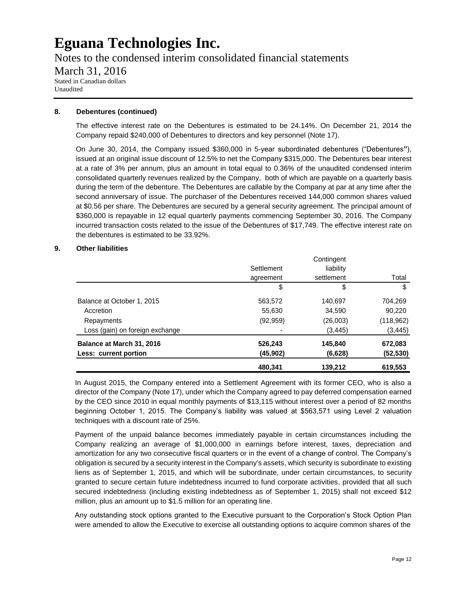Notes to the condensed interim consolidated financial statements March 31, 2016 Stated in Canadian dollars Unaudited

#### **8. Debentures (continued)**

The effective interest rate on the Debentures is estimated to be 24.14%. On December 21, 2014 the Company repaid \$240,000 of Debentures to directors and key personnel (Note 17).

On June 30, 2014, the Company issued \$360,000 in 5-year subordinated debentures ("Debentures**"**), issued at an original issue discount of 12.5% to net the Company \$315,000. The Debentures bear interest at a rate of 3% per annum, plus an amount in total equal to 0.36% of the unaudited condensed interim consolidated quarterly revenues realized by the Company, both of which are payable on a quarterly basis during the term of the debenture. The Debentures are callable by the Company at par at any time after the second anniversary of issue. The purchaser of the Debentures received 144,000 common shares valued at \$0.56 per share. The Debentures are secured by a general security agreement. The principal amount of \$360,000 is repayable in 12 equal quarterly payments commencing September 30, 2016. The Company incurred transaction costs related to the issue of the Debentures of \$17,749. The effective interest rate on the debentures is estimated to be 33.92%.

#### **9. Other liabilities**

|                                                    | 480,341             | 139,212            | 619,553             |
|----------------------------------------------------|---------------------|--------------------|---------------------|
| Balance at March 31, 2016<br>Less: current portion | 526,243<br>(45,902) | 145,840<br>(6,628) | 672,083<br>(52,530) |
| Loss (gain) on foreign exchange                    |                     | (3, 445)           | (3, 445)            |
| Repayments                                         | (92, 959)           | (26,003)           | (118, 962)          |
| Accretion                                          | 55,630              | 34,590             | 90,220              |
| Balance at October 1, 2015                         | 563,572             | 140.697            | 704.269             |
|                                                    | \$                  | \$                 | \$                  |
|                                                    | agreement           | settlement         | Total               |
|                                                    | Settlement          | liability          |                     |
|                                                    |                     | Contingent         |                     |

In August 2015, the Company entered into a Settlement Agreement with its former CEO, who is also a director of the Company (Note 17), under which the Company agreed to pay deferred compensation earned by the CEO since 2010 in equal monthly payments of \$13,115 without interest over a period of 82 months beginning October 1, 2015. The Company's liability was valued at \$563,571 using Level 2 valuation techniques with a discount rate of 25%.

Payment of the unpaid balance becomes immediately payable in certain circumstances including the Company realizing an average of \$1,000,000 in earnings before interest, taxes, depreciation and amortization for any two consecutive fiscal quarters or in the event of a change of control. The Company's obligation is secured by a security interest in the Company's assets, which security is subordinate to existing liens as of September 1, 2015, and which will be subordinate, under certain circumstances, to security granted to secure certain future indebtedness incurred to fund corporate activities, provided that all such secured indebtedness (including existing indebtedness as of September 1, 2015) shall not exceed \$12 million, plus an amount up to \$1.5 million for an operating line.

Any outstanding stock options granted to the Executive pursuant to the Corporation's Stock Option Plan were amended to allow the Executive to exercise all outstanding options to acquire common shares of the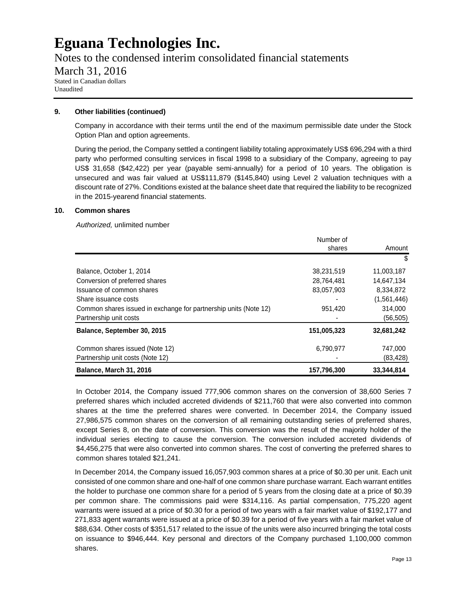Notes to the condensed interim consolidated financial statements March 31, 2016

Stated in Canadian dollars Unaudited

#### **9. Other liabilities (continued)**

Company in accordance with their terms until the end of the maximum permissible date under the Stock Option Plan and option agreements.

During the period, the Company settled a contingent liability totaling approximately US\$ 696,294 with a third party who performed consulting services in fiscal 1998 to a subsidiary of the Company, agreeing to pay US\$ 31,658 (\$42,422) per year (payable semi-annually) for a period of 10 years. The obligation is unsecured and was fair valued at US\$111,879 (\$145,840) using Level 2 valuation techniques with a discount rate of 27%. Conditions existed at the balance sheet date that required the liability to be recognized in the 2015-yearend financial statements.

#### **10. Common shares**

*Authorized,* unlimited number

| <b>Balance, March 31, 2016</b>                                   | 157,796,300 | 33,344,814  |
|------------------------------------------------------------------|-------------|-------------|
| Partnership unit costs (Note 12)                                 |             | (83, 428)   |
| Common shares issued (Note 12)                                   | 6,790,977   | 747,000     |
| Balance, September 30, 2015                                      | 151,005,323 | 32,681,242  |
| Partnership unit costs                                           |             | (56, 505)   |
| Common shares issued in exchange for partnership units (Note 12) | 951,420     | 314,000     |
| Share issuance costs                                             |             | (1,561,446) |
| Issuance of common shares                                        | 83,057,903  | 8,334,872   |
| Conversion of preferred shares                                   | 28,764,481  | 14,647,134  |
| Balance, October 1, 2014                                         | 38,231,519  | 11,003,187  |
|                                                                  |             | \$          |
|                                                                  | shares      | Amount      |
|                                                                  | Number of   |             |

In October 2014, the Company issued 777,906 common shares on the conversion of 38,600 Series 7 preferred shares which included accreted dividends of \$211,760 that were also converted into common shares at the time the preferred shares were converted. In December 2014, the Company issued 27,986,575 common shares on the conversion of all remaining outstanding series of preferred shares, except Series 8, on the date of conversion. This conversion was the result of the majority holder of the individual series electing to cause the conversion. The conversion included accreted dividends of \$4,456,275 that were also converted into common shares. The cost of converting the preferred shares to common shares totaled \$21,241.

In December 2014, the Company issued 16,057,903 common shares at a price of \$0.30 per unit. Each unit consisted of one common share and one-half of one common share purchase warrant. Each warrant entitles the holder to purchase one common share for a period of 5 years from the closing date at a price of \$0.39 per common share. The commissions paid were \$314,116. As partial compensation, 775,220 agent warrants were issued at a price of \$0.30 for a period of two years with a fair market value of \$192,177 and 271,833 agent warrants were issued at a price of \$0.39 for a period of five years with a fair market value of \$88,634. Other costs of \$351,517 related to the issue of the units were also incurred bringing the total costs on issuance to \$946,444. Key personal and directors of the Company purchased 1,100,000 common shares.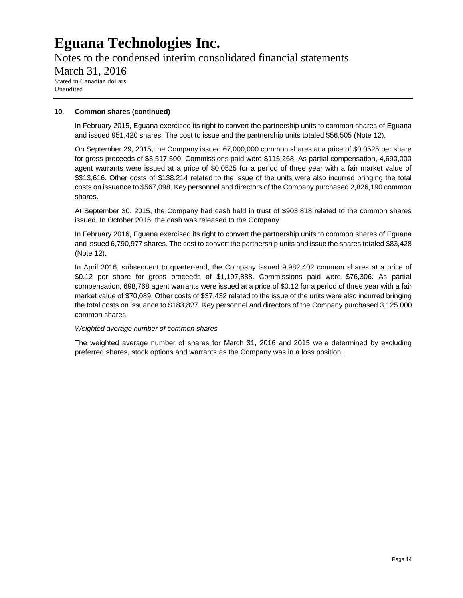Notes to the condensed interim consolidated financial statements March 31, 2016 Stated in Canadian dollars Unaudited

#### **10. Common shares (continued)**

In February 2015, Eguana exercised its right to convert the partnership units to common shares of Eguana and issued 951,420 shares. The cost to issue and the partnership units totaled \$56,505 (Note 12).

On September 29, 2015, the Company issued 67,000,000 common shares at a price of \$0.0525 per share for gross proceeds of \$3,517,500. Commissions paid were \$115,268. As partial compensation, 4,690,000 agent warrants were issued at a price of \$0.0525 for a period of three year with a fair market value of \$313,616. Other costs of \$138,214 related to the issue of the units were also incurred bringing the total costs on issuance to \$567,098. Key personnel and directors of the Company purchased 2,826,190 common shares.

At September 30, 2015, the Company had cash held in trust of \$903,818 related to the common shares issued. In October 2015, the cash was released to the Company.

In February 2016, Eguana exercised its right to convert the partnership units to common shares of Eguana and issued 6,790,977 shares. The cost to convert the partnership units and issue the shares totaled \$83,428 (Note 12).

In April 2016, subsequent to quarter-end, the Company issued 9,982,402 common shares at a price of \$0.12 per share for gross proceeds of \$1,197,888. Commissions paid were \$76,306. As partial compensation, 698,768 agent warrants were issued at a price of \$0.12 for a period of three year with a fair market value of \$70,089. Other costs of \$37,432 related to the issue of the units were also incurred bringing the total costs on issuance to \$183,827. Key personnel and directors of the Company purchased 3,125,000 common shares.

### *Weighted average number of common shares*

The weighted average number of shares for March 31, 2016 and 2015 were determined by excluding preferred shares, stock options and warrants as the Company was in a loss position.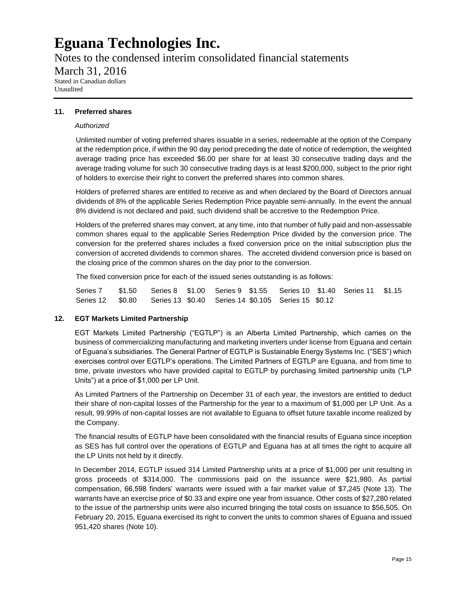Notes to the condensed interim consolidated financial statements March 31, 2016 Stated in Canadian dollars Unaudited

#### **11. Preferred shares**

#### *Authorized*

Unlimited number of voting preferred shares issuable in a series, redeemable at the option of the Company at the redemption price, if within the 90 day period preceding the date of notice of redemption, the weighted average trading price has exceeded \$6.00 per share for at least 30 consecutive trading days and the average trading volume for such 30 consecutive trading days is at least \$200,000, subject to the prior right of holders to exercise their right to convert the preferred shares into common shares.

Holders of preferred shares are entitled to receive as and when declared by the Board of Directors annual dividends of 8% of the applicable Series Redemption Price payable semi-annually. In the event the annual 8% dividend is not declared and paid, such dividend shall be accretive to the Redemption Price.

Holders of the preferred shares may convert, at any time, into that number of fully paid and non-assessable common shares equal to the applicable Series Redemption Price divided by the conversion price. The conversion for the preferred shares includes a fixed conversion price on the initial subscription plus the conversion of accreted dividends to common shares. The accreted dividend conversion price is based on the closing price of the common shares on the day prior to the conversion.

The fixed conversion price for each of the issued series outstanding is as follows:

Series 7 \$1.50 Series 8 \$1.00 Series 9 \$1.55 Series 10 \$1.40 Series 11 \$1.15 Series 12 \$0.80 Series 13 \$0.40 Series 14 \$0.105 Series 15 \$0.12

#### **12. EGT Markets Limited Partnership**

EGT Markets Limited Partnership ("EGTLP") is an Alberta Limited Partnership, which carries on the business of commercializing manufacturing and marketing inverters under license from Eguana and certain of Eguana's subsidiaries. The General Partner of EGTLP is Sustainable Energy Systems Inc. ("SES") which exercises control over EGTLP's operations. The Limited Partners of EGTLP are Eguana, and from time to time, private investors who have provided capital to EGTLP by purchasing limited partnership units ("LP Units") at a price of \$1,000 per LP Unit.

As Limited Partners of the Partnership on December 31 of each year, the investors are entitled to deduct their share of non-capital losses of the Partnership for the year to a maximum of \$1,000 per LP Unit. As a result, 99.99% of non-capital losses are not available to Eguana to offset future taxable income realized by the Company.

The financial results of EGTLP have been consolidated with the financial results of Eguana since inception as SES has full control over the operations of EGTLP and Eguana has at all times the right to acquire all the LP Units not held by it directly.

In December 2014, EGTLP issued 314 Limited Partnership units at a price of \$1,000 per unit resulting in gross proceeds of \$314,000. The commissions paid on the issuance were \$21,980. As partial compensation, 66,598 finders' warrants were issued with a fair market value of \$7,245 (Note 13). The warrants have an exercise price of \$0.33 and expire one year from issuance. Other costs of \$27,280 related to the issue of the partnership units were also incurred bringing the total costs on issuance to \$56,505. On February 20, 2015, Eguana exercised its right to convert the units to common shares of Eguana and issued 951,420 shares (Note 10).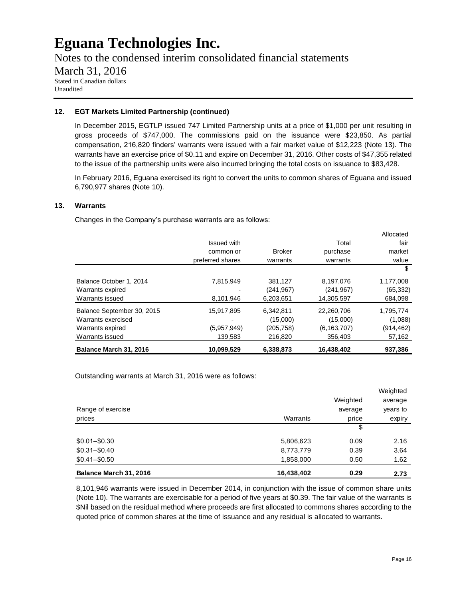Notes to the condensed interim consolidated financial statements

### March 31, 2016

Stated in Canadian dollars Unaudited

### **12. EGT Markets Limited Partnership (continued)**

In December 2015, EGTLP issued 747 Limited Partnership units at a price of \$1,000 per unit resulting in gross proceeds of \$747,000. The commissions paid on the issuance were \$23,850. As partial compensation, 216,820 finders' warrants were issued with a fair market value of \$12,223 (Note 13). The warrants have an exercise price of \$0.11 and expire on December 31, 2016. Other costs of \$47,355 related to the issue of the partnership units were also incurred bringing the total costs on issuance to \$83,428.

In February 2016, Eguana exercised its right to convert the units to common shares of Eguana and issued 6,790,977 shares (Note 10).

### **13. Warrants**

Changes in the Company's purchase warrants are as follows:

| Balance March 31, 2016     | 10,099,529         | 6,338,873     | 16,438,402    | 937,386    |
|----------------------------|--------------------|---------------|---------------|------------|
| Warrants issued            | 139,583            | 216,820       | 356,403       | 57,162     |
| Warrants expired           | (5.957.949)        | (205,758)     | (6, 163, 707) | (914, 462) |
| Warrants exercised         |                    | (15,000)      | (15,000)      | (1,088)    |
| Balance September 30, 2015 | 15,917,895         | 6,342,811     | 22,260,706    | 1,795,774  |
| Warrants issued            | 8,101,946          | 6,203,651     | 14,305,597    | 684,098    |
| Warrants expired           |                    | (241, 967)    | (241, 967)    | (65, 332)  |
| Balance October 1, 2014    | 7,815,949          | 381,127       | 8,197,076     | 1,177,008  |
|                            |                    |               |               | \$         |
|                            | preferred shares   | warrants      | warrants      | value      |
|                            | common or          | <b>Broker</b> | purchase      | market     |
|                            | <b>Issued with</b> |               | Total         | fair       |
|                            |                    |               |               | Allocated  |

Outstanding warrants at March 31, 2016 were as follows:

|                        |            |          | Weighted |
|------------------------|------------|----------|----------|
|                        |            | Weighted | average  |
| Range of exercise      |            | average  | years to |
| prices                 | Warrants   | price    | expiry   |
|                        |            | \$       |          |
| $$0.01 - $0.30$        | 5,806,623  | 0.09     | 2.16     |
| $$0.31 - $0.40$        | 8,773,779  | 0.39     | 3.64     |
| $$0.41 - $0.50$        | 1,858,000  | 0.50     | 1.62     |
| Balance March 31, 2016 | 16,438,402 | 0.29     | 2.73     |

8,101,946 warrants were issued in December 2014, in conjunction with the issue of common share units (Note 10). The warrants are exercisable for a period of five years at \$0.39. The fair value of the warrants is \$Nil based on the residual method where proceeds are first allocated to commons shares according to the quoted price of common shares at the time of issuance and any residual is allocated to warrants.

Allocated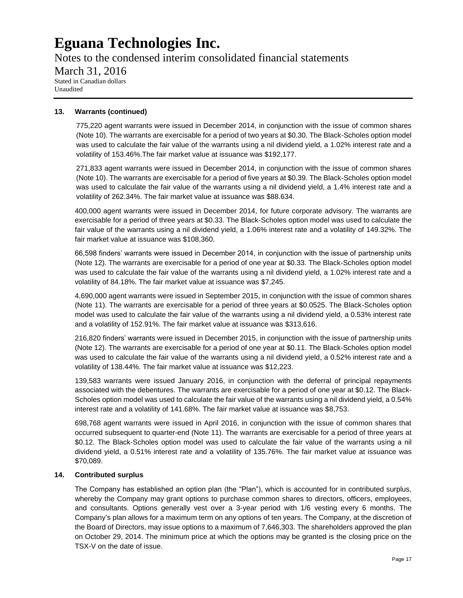Notes to the condensed interim consolidated financial statements March 31, 2016 Stated in Canadian dollars Unaudited

#### **13. Warrants (continued)**

775,220 agent warrants were issued in December 2014, in conjunction with the issue of common shares (Note 10). The warrants are exercisable for a period of two years at \$0.30. The Black-Scholes option model was used to calculate the fair value of the warrants using a nil dividend yield, a 1.02% interest rate and a volatility of 153.46%.The fair market value at issuance was \$192,177.

271,833 agent warrants were issued in December 2014, in conjunction with the issue of common shares (Note 10). The warrants are exercisable for a period of five years at \$0.39. The Black-Scholes option model was used to calculate the fair value of the warrants using a nil dividend yield, a 1.4% interest rate and a volatility of 262.34%. The fair market value at issuance was \$88.634.

400,000 agent warrants were issued in December 2014, for future corporate advisory. The warrants are exercisable for a period of three years at \$0.33. The Black-Scholes option model was used to calculate the fair value of the warrants using a nil dividend yield, a 1.06% interest rate and a volatility of 149.32%. The fair market value at issuance was \$108,360.

66,598 finders' warrants were issued in December 2014, in conjunction with the issue of partnership units (Note 12). The warrants are exercisable for a period of one year at \$0.33. The Black-Scholes option model was used to calculate the fair value of the warrants using a nil dividend yield, a 1.02% interest rate and a volatility of 84.18%. The fair market value at issuance was \$7,245.

4,690,000 agent warrants were issued in September 2015, in conjunction with the issue of common shares (Note 11). The warrants are exercisable for a period of three years at \$0.0525. The Black-Scholes option model was used to calculate the fair value of the warrants using a nil dividend yield, a 0.53% interest rate and a volatility of 152.91%. The fair market value at issuance was \$313,616.

216,820 finders' warrants were issued in December 2015, in conjunction with the issue of partnership units (Note 12). The warrants are exercisable for a period of one year at \$0.11. The Black-Scholes option model was used to calculate the fair value of the warrants using a nil dividend yield, a 0.52% interest rate and a volatility of 138.44%. The fair market value at issuance was \$12,223.

139,583 warrants were issued January 2016, in conjunction with the deferral of principal repayments associated with the debentures. The warrants are exercisable for a period of one year at \$0.12. The Black-Scholes option model was used to calculate the fair value of the warrants using a nil dividend yield, a 0.54% interest rate and a volatility of 141.68%. The fair market value at issuance was \$8,753.

698,768 agent warrants were issued in April 2016, in conjunction with the issue of common shares that occurred subsequent to quarter-end (Note 11). The warrants are exercisable for a period of three years at \$0.12. The Black-Scholes option model was used to calculate the fair value of the warrants using a nil dividend yield, a 0.51% interest rate and a volatility of 135.76%. The fair market value at issuance was \$70,089.

#### **14. Contributed surplus**

The Company has established an option plan (the "Plan"), which is accounted for in contributed surplus, whereby the Company may grant options to purchase common shares to directors, officers, employees, and consultants. Options generally vest over a 3-year period with 1/6 vesting every 6 months. The Company's plan allows for a maximum term on any options of ten years. The Company, at the discretion of the Board of Directors, may issue options to a maximum of 7,646,303. The shareholders approved the plan on October 29, 2014. The minimum price at which the options may be granted is the closing price on the TSX-V on the date of issue.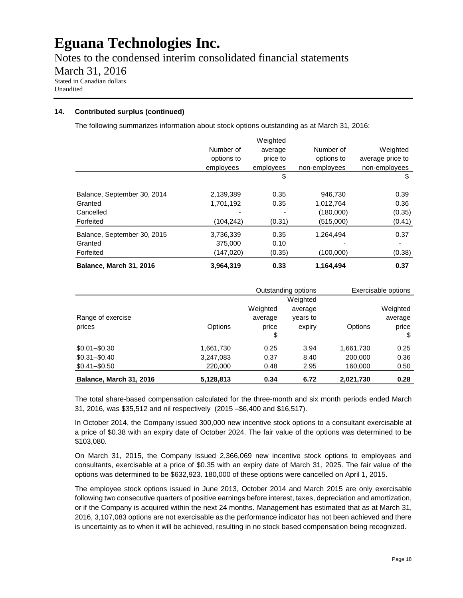Notes to the condensed interim consolidated financial statements March 31, 2016 Stated in Canadian dollars Unaudited

### **14. Contributed surplus (continued)**

The following summarizes information about stock options outstanding as at March 31, 2016:

| Balance, March 31, 2016     | 3.964.319  | 0.33      | 1,164,494     | 0.37             |
|-----------------------------|------------|-----------|---------------|------------------|
| Forfeited                   | (147,020)  | (0.35)    | (100,000)     | (0.38)           |
| Granted                     | 375,000    | 0.10      |               |                  |
| Balance, September 30, 2015 | 3,736,339  | 0.35      | 1,264,494     | 0.37             |
| Forfeited                   | (104,242)  | (0.31)    | (515,000)     | (0.41)           |
| Cancelled                   |            |           | (180,000)     | (0.35)           |
| Granted                     | 1,701,192  | 0.35      | 1,012,764     | 0.36             |
| Balance, September 30, 2014 | 2,139,389  | 0.35      | 946.730       | 0.39             |
|                             |            | \$        |               | \$               |
|                             | employees  | employees | non-employees | non-employees    |
|                             | options to | price to  | options to    | average price to |
|                             | Number of  | average   | Number of     | Weighted         |
|                             |            | Weighted  |               |                  |

|                         |           | Outstanding options |          |           | Exercisable options |
|-------------------------|-----------|---------------------|----------|-----------|---------------------|
|                         |           |                     | Weighted |           |                     |
|                         |           | Weighted            | average  |           | Weighted            |
| Range of exercise       |           | average             | years to |           | average             |
| prices                  | Options   | price               | expiry   | Options   | price               |
|                         |           | \$                  |          |           | \$                  |
| $$0.01 - $0.30$         | 1,661,730 | 0.25                | 3.94     | 1,661,730 | 0.25                |
| $$0.31 - $0.40$         | 3,247,083 | 0.37                | 8.40     | 200,000   | 0.36                |
| $$0.41 - $0.50$         | 220,000   | 0.48                | 2.95     | 160,000   | 0.50                |
| Balance, March 31, 2016 | 5,128,813 | 0.34                | 6.72     | 2,021,730 | 0.28                |

The total share-based compensation calculated for the three-month and six month periods ended March 31, 2016, was \$35,512 and nil respectively (2015 –\$6,400 and \$16,517).

In October 2014, the Company issued 300,000 new incentive stock options to a consultant exercisable at a price of \$0.38 with an expiry date of October 2024. The fair value of the options was determined to be \$103,080.

On March 31, 2015, the Company issued 2,366,069 new incentive stock options to employees and consultants, exercisable at a price of \$0.35 with an expiry date of March 31, 2025. The fair value of the options was determined to be \$632,923. 180,000 of these options were cancelled on April 1, 2015.

The employee stock options issued in June 2013, October 2014 and March 2015 are only exercisable following two consecutive quarters of positive earnings before interest, taxes, depreciation and amortization, or if the Company is acquired within the next 24 months. Management has estimated that as at March 31, 2016, 3,107,083 options are not exercisable as the performance indicator has not been achieved and there is uncertainty as to when it will be achieved, resulting in no stock based compensation being recognized.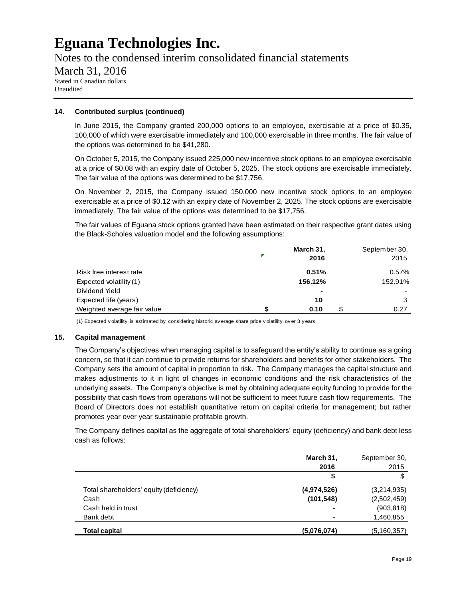Notes to the condensed interim consolidated financial statements March 31, 2016 Stated in Canadian dollars Unaudited

#### **14. Contributed surplus (continued)**

In June 2015, the Company granted 200,000 options to an employee, exercisable at a price of \$0.35, 100,000 of which were exercisable immediately and 100,000 exercisable in three months. The fair value of the options was determined to be \$41,280.

On October 5, 2015, the Company issued 225,000 new incentive stock options to an employee exercisable at a price of \$0.08 with an expiry date of October 5, 2025. The stock options are exercisable immediately. The fair value of the options was determined to be \$17,756.

On November 2, 2015, the Company issued 150,000 new incentive stock options to an employee exercisable at a price of \$0.12 with an expiry date of November 2, 2025. The stock options are exercisable immediately. The fair value of the options was determined to be \$17,756.

The fair values of Eguana stock options granted have been estimated on their respective grant dates using the Black-Scholes valuation model and the following assumptions:

|                             | March 31,<br>2016 | September 30,<br>2015 |
|-----------------------------|-------------------|-----------------------|
| Risk free interest rate     | 0.51%             | 0.57%                 |
| Expected volatility (1)     | 156.12%           | 152.91%               |
| Dividend Yield              | $\blacksquare$    |                       |
| Expected life (years)       | 10                | 3                     |
| Weighted average fair value | 0.10              | 0.27                  |

(1) Expected v olatility is estimated by considering historic av erage share price v olatility ov er 3 y ears

#### **15. Capital management**

The Company's objectives when managing capital is to safeguard the entity's ability to continue as a going concern, so that it can continue to provide returns for shareholders and benefits for other stakeholders. The Company sets the amount of capital in proportion to risk. The Company manages the capital structure and makes adjustments to it in light of changes in economic conditions and the risk characteristics of the underlying assets. The Company's objective is met by obtaining adequate equity funding to provide for the possibility that cash flows from operations will not be sufficient to meet future cash flow requirements. The Board of Directors does not establish quantitative return on capital criteria for management; but rather promotes year over year sustainable profitable growth.

The Company defines capital as the aggregate of total shareholders' equity (deficiency) and bank debt less cash as follows:

|                                         | March 31,   | September 30, |
|-----------------------------------------|-------------|---------------|
|                                         | 2016        | 2015          |
|                                         | \$          |               |
| Total shareholders' equity (deficiency) | (4,974,526) | (3,214,935)   |
| Cash                                    | (101, 548)  | (2,502,459)   |
| Cash held in trust                      |             | (903, 818)    |
| Bank debt                               |             | 1,460,855     |
| <b>Total capital</b>                    | (5,076,074) | (5, 160, 357) |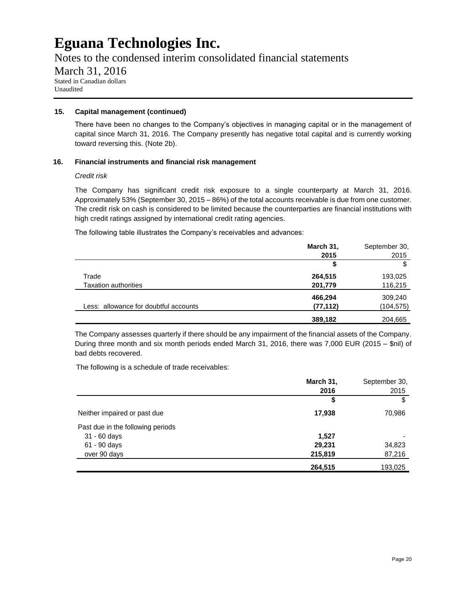Notes to the condensed interim consolidated financial statements

March 31, 2016

Stated in Canadian dollars Unaudited

### **15. Capital management (continued)**

There have been no changes to the Company's objectives in managing capital or in the management of capital since March 31, 2016. The Company presently has negative total capital and is currently working toward reversing this. (Note 2b).

### **16. Financial instruments and financial risk management**

### *Credit risk*

The Company has significant credit risk exposure to a single counterparty at March 31, 2016. Approximately 53% (September 30, 2015 – 86%) of the total accounts receivable is due from one customer. The credit risk on cash is considered to be limited because the counterparties are financial institutions with high credit ratings assigned by international credit rating agencies.

The following table illustrates the Company's receivables and advances:

|                                       | March 31, | September 30, |
|---------------------------------------|-----------|---------------|
|                                       | 2015      | 2015          |
|                                       | \$        | \$            |
| Trade                                 | 264,515   | 193,025       |
| <b>Taxation authorities</b>           | 201,779   | 116,215       |
|                                       | 466,294   | 309,240       |
| Less: allowance for doubtful accounts | (77, 112) | (104, 575)    |
|                                       | 389,182   | 204,665       |

The Company assesses quarterly if there should be any impairment of the financial assets of the Company. During three month and six month periods ended March 31, 2016, there was 7,000 EUR (2015 – \$nil) of bad debts recovered.

The following is a schedule of trade receivables:

|                                   | March 31, | September 30, |
|-----------------------------------|-----------|---------------|
|                                   | 2016      | 2015          |
|                                   | \$        | \$            |
| Neither impaired or past due      | 17,938    | 70,986        |
| Past due in the following periods |           |               |
| 31 - 60 days                      | 1,527     |               |
| 61 - 90 days                      | 29,231    | 34,823        |
| over 90 days                      | 215,819   | 87,216        |
|                                   | 264,515   | 193,025       |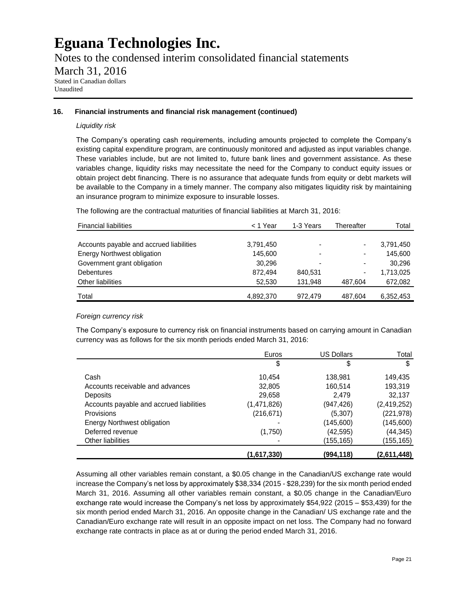Notes to the condensed interim consolidated financial statements

### March 31, 2016

Stated in Canadian dollars Unaudited

### **16. Financial instruments and financial risk management (continued)**

### *Liquidity risk*

The Company's operating cash requirements, including amounts projected to complete the Company's existing capital expenditure program, are continuously monitored and adjusted as input variables change. These variables include, but are not limited to, future bank lines and government assistance. As these variables change, liquidity risks may necessitate the need for the Company to conduct equity issues or obtain project debt financing. There is no assurance that adequate funds from equity or debt markets will be available to the Company in a timely manner. The company also mitigates liquidity risk by maintaining an insurance program to minimize exposure to insurable losses.

The following are the contractual maturities of financial liabilities at March 31, 2016:

| <b>Financial liabilities</b>             | < 1 Year  | 1-3 Years      | Thereafter               | Total     |
|------------------------------------------|-----------|----------------|--------------------------|-----------|
|                                          |           |                |                          |           |
| Accounts payable and accrued liabilities | 3,791,450 | $\blacksquare$ |                          | 3,791,450 |
| <b>Energy Northwest obligation</b>       | 145.600   | $\blacksquare$ | $\,$                     | 145.600   |
| Government grant obligation              | 30.296    | $\,$           | $\blacksquare$           | 30.296    |
| <b>Debentures</b>                        | 872.494   | 840.531        | $\overline{\phantom{0}}$ | 1,713,025 |
| Other liabilities                        | 52.530    | 131.948        | 487.604                  | 672,082   |
| Total                                    | 4,892,370 | 972.479        | 487.604                  | 6,352,453 |

### *Foreign currency risk*

The Company's exposure to currency risk on financial instruments based on carrying amount in Canadian currency was as follows for the six month periods ended March 31, 2016:

|                                          | Euros       | <b>US Dollars</b> | Total         |
|------------------------------------------|-------------|-------------------|---------------|
|                                          | \$          | \$                | \$            |
| Cash                                     | 10,454      | 138,981           | 149,435       |
| Accounts receivable and advances         | 32,805      | 160,514           | 193,319       |
| <b>Deposits</b>                          | 29,658      | 2.479             | 32,137        |
| Accounts payable and accrued liabilities | (1,471,826) | (947, 426)        | (2, 419, 252) |
| <b>Provisions</b>                        | (216, 671)  | (5,307)           | (221, 978)    |
| <b>Energy Northwest obligation</b>       |             | (145,600)         | (145,600)     |
| Deferred revenue                         | (1,750)     | (42, 595)         | (44, 345)     |
| Other liabilities                        |             | (155,165)         | (155,165)     |
|                                          | (1,617,330) | (994, 118)        | (2,611,448)   |

Assuming all other variables remain constant, a \$0.05 change in the Canadian/US exchange rate would increase the Company's net loss by approximately \$38,334 (2015 - \$28,239) for the six month period ended March 31, 2016. Assuming all other variables remain constant, a \$0.05 change in the Canadian/Euro exchange rate would increase the Company's net loss by approximately \$54,922 (2015 – \$53,439) for the six month period ended March 31, 2016. An opposite change in the Canadian/ US exchange rate and the Canadian/Euro exchange rate will result in an opposite impact on net loss. The Company had no forward exchange rate contracts in place as at or during the period ended March 31, 2016.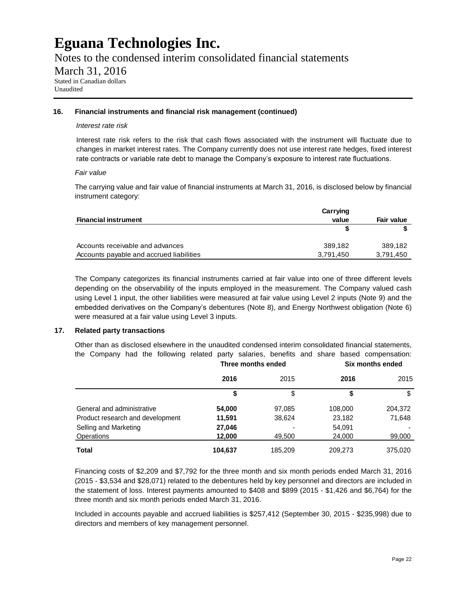Notes to the condensed interim consolidated financial statements

March 31, 2016

Stated in Canadian dollars Unaudited

### **16. Financial instruments and financial risk management (continued)**

### *Interest rate risk*

Interest rate risk refers to the risk that cash flows associated with the instrument will fluctuate due to changes in market interest rates. The Company currently does not use interest rate hedges, fixed interest rate contracts or variable rate debt to manage the Company's exposure to interest rate fluctuations.

### *Fair value*

The carrying value and fair value of financial instruments at March 31, 2016, is disclosed below by financial instrument category:

|                                          | Carrying  |                   |
|------------------------------------------|-----------|-------------------|
| <b>Financial instrument</b>              | value     | <b>Fair value</b> |
|                                          |           |                   |
| Accounts receivable and advances         | 389.182   | 389.182           |
| Accounts payable and accrued liabilities | 3.791.450 | 3.791.450         |

The Company categorizes its financial instruments carried at fair value into one of three different levels depending on the observability of the inputs employed in the measurement. The Company valued cash using Level 1 input, the other liabilities were measured at fair value using Level 2 inputs (Note 9) and the embedded derivatives on the Company's debentures (Note 8), and Energy Northwest obligation (Note 6) were measured at a fair value using Level 3 inputs.

### **17. Related party transactions**

Other than as disclosed elsewhere in the unaudited condensed interim consolidated financial statements, the Company had the following related party salaries, benefits and share based compensation:

|                                  | Three months ended |         | Six months ended |         |
|----------------------------------|--------------------|---------|------------------|---------|
|                                  | 2016               | 2015    | 2016             | 2015    |
|                                  |                    | \$      | \$               | \$      |
| General and administrative       | 54,000             | 97,085  | 108,000          | 204,372 |
| Product research and development | 11,591             | 38,624  | 23,182           | 71,648  |
| Selling and Marketing            | 27,046             |         | 54,091           |         |
| <b>Operations</b>                | 12,000             | 49,500  | 24,000           | 99,000  |
| <b>Total</b>                     | 104,637            | 185,209 | 209,273          | 375,020 |

Financing costs of \$2,209 and \$7,792 for the three month and six month periods ended March 31, 2016 (2015 - \$3,534 and \$28,071) related to the debentures held by key personnel and directors are included in the statement of loss. Interest payments amounted to \$408 and \$899 (2015 - \$1,426 and \$6,764) for the three month and six month periods ended March 31, 2016.

Included in accounts payable and accrued liabilities is \$257,412 (September 30, 2015 - \$235,998) due to directors and members of key management personnel.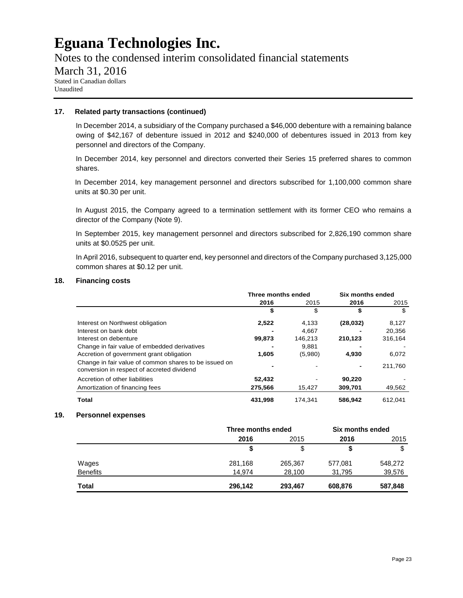Notes to the condensed interim consolidated financial statements

### March 31, 2016

Stated in Canadian dollars Unaudited

### **17. Related party transactions (continued)**

In December 2014, a subsidiary of the Company purchased a \$46,000 debenture with a remaining balance owing of \$42,167 of debenture issued in 2012 and \$240,000 of debentures issued in 2013 from key personnel and directors of the Company.

In December 2014, key personnel and directors converted their Series 15 preferred shares to common shares.

In December 2014, key management personnel and directors subscribed for 1,100,000 common share units at \$0.30 per unit.

In August 2015, the Company agreed to a termination settlement with its former CEO who remains a director of the Company (Note 9).

In September 2015, key management personnel and directors subscribed for 2,826,190 common share units at \$0.0525 per unit.

In April 2016, subsequent to quarter end, key personnel and directors of the Company purchased 3,125,000 common shares at \$0.12 per unit.

### **18. Financing costs**

|                                                                                                     | Three months ended |         | Six months ended |         |
|-----------------------------------------------------------------------------------------------------|--------------------|---------|------------------|---------|
|                                                                                                     | 2016               | 2015    | 2016             | 2015    |
|                                                                                                     | \$                 | \$      | \$               | S       |
| Interest on Northwest obligation                                                                    | 2,522              | 4,133   | (28, 032)        | 8,127   |
| Interest on bank debt                                                                               |                    | 4.667   |                  | 20,356  |
| Interest on debenture                                                                               | 99,873             | 146,213 | 210.123          | 316.164 |
| Change in fair value of embedded derivatives                                                        |                    | 9.881   |                  |         |
| Accretion of government grant obligation                                                            | 1.605              | (5,980) | 4,930            | 6,072   |
| Change in fair value of common shares to be issued on<br>conversion in respect of accreted dividend |                    |         |                  | 211,760 |
| Accretion of other liabilities                                                                      | 52,432             |         | 90,220           |         |
| Amortization of financing fees                                                                      | 275,566            | 15.427  | 309.701          | 49,562  |
| Total                                                                                               | 431.998            | 174.341 | 586.942          | 612.041 |

### **19. Personnel expenses**

|                 | Three months ended |         | Six months ended |         |
|-----------------|--------------------|---------|------------------|---------|
|                 | 2016               | 2015    | 2016             | 2015    |
|                 |                    | \$      |                  | \$      |
| Wages           | 281,168            | 265,367 | 577,081          | 548,272 |
| <b>Benefits</b> | 14.974             | 28,100  | 31.795           | 39,576  |
| Total           | 296,142            | 293,467 | 608,876          | 587,848 |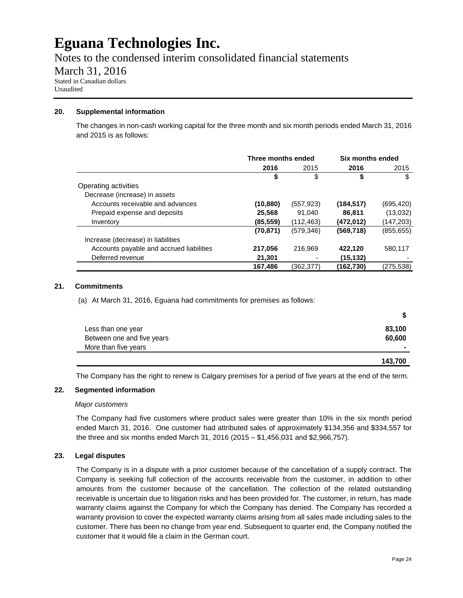Notes to the condensed interim consolidated financial statements

March 31, 2016

Stated in Canadian dollars Unaudited

### **20. Supplemental information**

The changes in non-cash working capital for the three month and six month periods ended March 31, 2016 and 2015 is as follows:

|                                          | Three months ended |            | Six months ended |            |
|------------------------------------------|--------------------|------------|------------------|------------|
|                                          | 2016               | 2015       | 2016             | 2015       |
|                                          | \$                 | \$         | \$               | \$         |
| Operating activities                     |                    |            |                  |            |
| Decrease (increase) in assets            |                    |            |                  |            |
| Accounts receivable and advances         | (10, 880)          | (557, 923) | (184, 517)       | (695, 420) |
| Prepaid expense and deposits             | 25,568             | 91,040     | 86,811           | (13,032)   |
| Inventory                                | (85, 559)          | (112, 463) | (472,012)        | (147,203)  |
|                                          | (70, 871)          | (579, 346) | (569, 718)       | (855, 655) |
| Increase (decrease) in liabilities       |                    |            |                  |            |
| Accounts payable and accrued liabilities | 217,056            | 216.969    | 422,120          | 580,117    |
| Deferred revenue                         | 21,301             |            | (15, 132)        |            |
|                                          | 167.486            | (362.377)  | (162,730)        | (275,538)  |

### **21. Commitments**

(a) At March 31, 2016, Eguana had commitments for premises as follows:

| Less than one year         | 83,100                   |
|----------------------------|--------------------------|
| Between one and five years | 60,600                   |
| More than five years       | $\overline{\phantom{a}}$ |
|                            | 143,700                  |

The Company has the right to renew is Calgary premises for a period of five years at the end of the term.

### **22. Segmented information**

### *Major customers*

The Company had five customers where product sales were greater than 10% in the six month period ended March 31, 2016. One customer had attributed sales of approximately \$134,356 and \$334,557 for the three and six months ended March 31, 2016 (2015 – \$1,456,031 and \$2,966,757).

### **23. Legal disputes**

The Company is in a dispute with a prior customer because of the cancellation of a supply contract. The Company is seeking full collection of the accounts receivable from the customer, in addition to other amounts from the customer because of the cancellation. The collection of the related outstanding receivable is uncertain due to litigation risks and has been provided for. The customer, in return, has made warranty claims against the Company for which the Company has denied. The Company has recorded a warranty provision to cover the expected warranty claims arising from all sales made including sales to the customer. There has been no change from year end. Subsequent to quarter end, the Company notified the customer that it would file a claim in the German court.